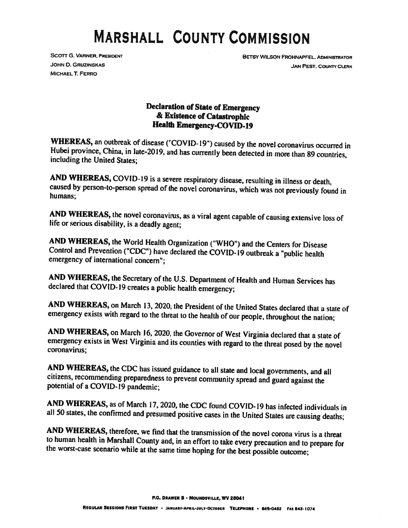## MARSHALL COUNTY COMMISSION

**MICHAEL T. FERRO** 

SCOTT G. VARNER, PRESIDENT BETSY WILSON FROHNAPFEL, ADMINISTRATOR **JOHN D. GRUZINSKAS JAN PEST, COUNTY CLERK** 

## Declaration of State of Emergency & Existence of Catastrophic Health Emergency-COVID-19

WHEREAS, an outbreak of disease ("COVID-19") caused by the novel coronavirus occurred in Hubei province, China, in late-2019, and has currently been detected in more than 89 countries, including the United States:

AND WHEREAS, COVID-19 is a severe respiratory disease, resulting in illness or death, caused by person-to-person spread of the novel coronavirus, which was not previously found in humans:

AND WHEREAS, the novel coronavirus, as a viral agent capable of causing extensive loss of life or serious disability, is a deadly agent;

AND WHEREAS, the World Health Organization ("WHO") and the Centers for Disease Control and Prevention ("CDC") have declared the COVID-19 outbreak <sup>a</sup> "public health emergency of international concern';

AND WHEREAS, the Secretary of the U.S. Department of Health and Human Services has declared that COVID-J9 creates <sup>a</sup> public health emergency;

AND WHEREAS, on March 13, 2020, the President of the United States declared that <sup>a</sup> state of emergency exists with regard to the threat to the health of our people, throughout the nation;

AND WHEREAS, on March 16, 2020, the Governor of West Virginia declared that <sup>a</sup> state of emergency exists in West Virginia and its counties with regard to the threat posed by the novel coronavirus;

AND WHEREAS, the CDC has issued guidance to all state and local governments, and all citizens, recommending preparedness to prevent community spread and guard against the potential of <sup>a</sup> COVID-19 pandemic;

AND WHEREAS, as of March 17, 2020, the CDC found COVID-19 has infected individuals in all 50 states, the confirmed and presumed positive cases in the United States are causing deaths;

AND WHEREAS, therefore, we find that the transmission of the novel corona virus is a threat<br>to human health in Marshall County and, in an effort to take every precaution and to prepare for<br>the worst-case scenario while at